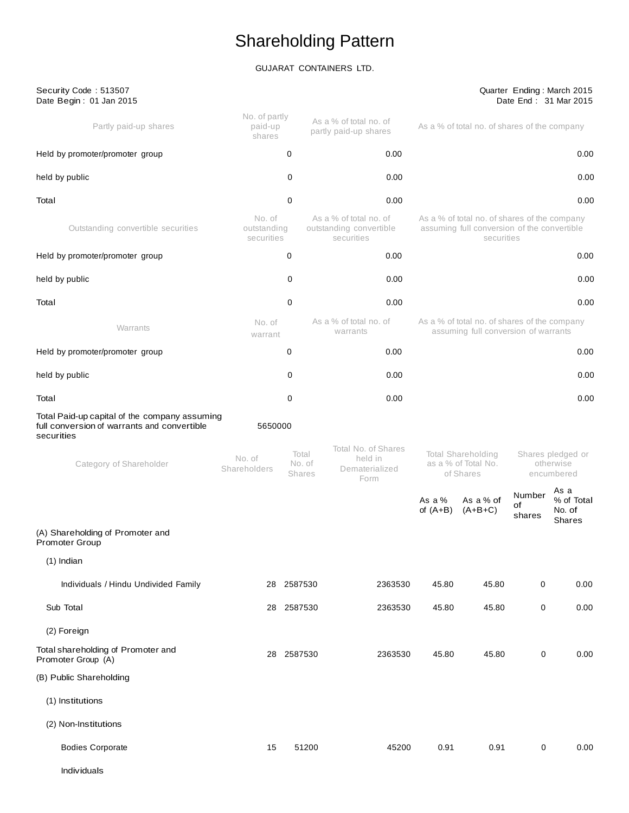# Shareholding Pattern

# GUJARAT CONTAINERS LTD.

| Security Code: 513507<br>Date Begin: 01 Jan 2015                                                           |                                     |                                  |                                                                 |                                                                                      |                                                                                                           |                                              | Quarter Ending: March 2015<br>Date End: 31 Mar 2015 |
|------------------------------------------------------------------------------------------------------------|-------------------------------------|----------------------------------|-----------------------------------------------------------------|--------------------------------------------------------------------------------------|-----------------------------------------------------------------------------------------------------------|----------------------------------------------|-----------------------------------------------------|
| Partly paid-up shares                                                                                      | No. of partly<br>paid-up<br>shares  |                                  | As a % of total no. of<br>partly paid-up shares                 | As a % of total no. of shares of the company                                         |                                                                                                           |                                              |                                                     |
| Held by promoter/promoter group                                                                            |                                     | 0                                | 0.00                                                            |                                                                                      |                                                                                                           |                                              | 0.00                                                |
| held by public                                                                                             |                                     | 0                                | 0.00                                                            |                                                                                      |                                                                                                           |                                              | 0.00                                                |
| Total                                                                                                      |                                     | 0                                | 0.00                                                            |                                                                                      |                                                                                                           |                                              | 0.00                                                |
| Outstanding convertible securities                                                                         | No. of<br>outstanding<br>securities |                                  | As a % of total no. of<br>outstanding convertible<br>securities |                                                                                      | As a % of total no. of shares of the company<br>assuming full conversion of the convertible<br>securities |                                              |                                                     |
| Held by promoter/promoter group                                                                            |                                     | 0                                | 0.00                                                            |                                                                                      |                                                                                                           |                                              | 0.00                                                |
| held by public                                                                                             |                                     | 0                                | 0.00                                                            |                                                                                      |                                                                                                           |                                              | 0.00                                                |
| Total                                                                                                      |                                     | 0                                | 0.00                                                            |                                                                                      |                                                                                                           |                                              | 0.00                                                |
| Warrants                                                                                                   | No. of<br>warrant                   |                                  | As a % of total no. of<br>warrants                              | As a % of total no. of shares of the company<br>assuming full conversion of warrants |                                                                                                           |                                              |                                                     |
| Held by promoter/promoter group                                                                            |                                     | 0                                | 0.00                                                            |                                                                                      |                                                                                                           |                                              | 0.00                                                |
| held by public                                                                                             |                                     | 0                                | 0.00                                                            |                                                                                      |                                                                                                           |                                              | 0.00                                                |
| Total                                                                                                      |                                     | 0                                | 0.00                                                            |                                                                                      |                                                                                                           |                                              | 0.00                                                |
| Total Paid-up capital of the company assuming<br>full conversion of warrants and convertible<br>securities | 5650000                             |                                  |                                                                 |                                                                                      |                                                                                                           |                                              |                                                     |
| Category of Shareholder                                                                                    | No. of<br>Shareholders              | Total<br>No. of<br><b>Shares</b> | Total No. of Shares<br>held in<br>Dematerialized<br>Form        | Total Shareholding<br>as a % of Total No.<br>of Shares                               |                                                                                                           | Shares pledged or<br>otherwise<br>encumbered |                                                     |
|                                                                                                            |                                     |                                  |                                                                 | As a %<br>of $(A+B)$                                                                 | As a % of<br>$(A+B+C)$                                                                                    | Number<br>οf<br>shares                       | As a<br>% of Total<br>No. of<br>Shares              |
| (A) Shareholding of Promoter and<br>Promoter Group                                                         |                                     |                                  |                                                                 |                                                                                      |                                                                                                           |                                              |                                                     |
| $(1)$ Indian                                                                                               |                                     |                                  |                                                                 |                                                                                      |                                                                                                           |                                              |                                                     |
| Individuals / Hindu Undivided Family                                                                       | 28                                  | 2587530                          | 2363530                                                         | 45.80                                                                                | 45.80                                                                                                     | 0                                            | 0.00                                                |
| Sub Total                                                                                                  |                                     | 28 2587530                       | 2363530                                                         | 45.80                                                                                | 45.80                                                                                                     | 0                                            | 0.00                                                |
| (2) Foreign                                                                                                |                                     |                                  |                                                                 |                                                                                      |                                                                                                           |                                              |                                                     |
| Total shareholding of Promoter and<br>Promoter Group (A)                                                   |                                     | 28 2587530                       | 2363530                                                         | 45.80                                                                                | 45.80                                                                                                     | $\mathbf 0$                                  | 0.00                                                |
| (B) Public Shareholding                                                                                    |                                     |                                  |                                                                 |                                                                                      |                                                                                                           |                                              |                                                     |
| (1) Institutions                                                                                           |                                     |                                  |                                                                 |                                                                                      |                                                                                                           |                                              |                                                     |
| (2) Non-Institutions                                                                                       |                                     |                                  |                                                                 |                                                                                      |                                                                                                           |                                              |                                                     |
| <b>Bodies Corporate</b>                                                                                    | 15                                  | 51200                            | 45200                                                           | 0.91                                                                                 | 0.91                                                                                                      | 0                                            | 0.00                                                |
| Individuals                                                                                                |                                     |                                  |                                                                 |                                                                                      |                                                                                                           |                                              |                                                     |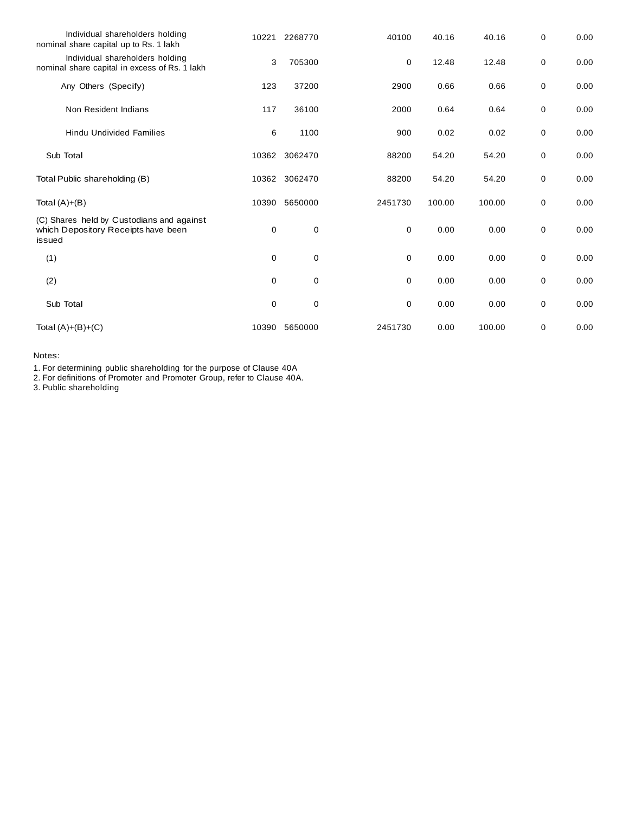| Individual shareholders holding<br>nominal share capital up to Rs. 1 lakh                  | 10221       | 2268770 | 40100       | 40.16  | 40.16  | 0 | 0.00 |
|--------------------------------------------------------------------------------------------|-------------|---------|-------------|--------|--------|---|------|
| Individual shareholders holding<br>nominal share capital in excess of Rs. 1 lakh           | 3           | 705300  | 0           | 12.48  | 12.48  | 0 | 0.00 |
| Any Others (Specify)                                                                       | 123         | 37200   | 2900        | 0.66   | 0.66   | 0 | 0.00 |
| Non Resident Indians                                                                       | 117         | 36100   | 2000        | 0.64   | 0.64   | 0 | 0.00 |
| <b>Hindu Undivided Families</b>                                                            | 6           | 1100    | 900         | 0.02   | 0.02   | 0 | 0.00 |
| Sub Total                                                                                  | 10362       | 3062470 | 88200       | 54.20  | 54.20  | 0 | 0.00 |
| Total Public shareholding (B)                                                              | 10362       | 3062470 | 88200       | 54.20  | 54.20  | 0 | 0.00 |
| Total $(A)+(B)$                                                                            | 10390       | 5650000 | 2451730     | 100.00 | 100.00 | 0 | 0.00 |
| (C) Shares held by Custodians and against<br>which Depository Receipts have been<br>issued | 0           | 0       | $\mathbf 0$ | 0.00   | 0.00   | 0 | 0.00 |
| (1)                                                                                        | $\mathbf 0$ | 0       | $\mathbf 0$ | 0.00   | 0.00   | 0 | 0.00 |
| (2)                                                                                        | 0           | 0       | 0           | 0.00   | 0.00   | 0 | 0.00 |
| Sub Total                                                                                  | 0           | 0       | 0           | 0.00   | 0.00   | 0 | 0.00 |
| Total $(A)+(B)+(C)$                                                                        | 10390       | 5650000 | 2451730     | 0.00   | 100.00 | 0 | 0.00 |

Notes:

1. For determining public shareholding for the purpose of Clause 40A

2. For definitions of Promoter and Promoter Group, refer to Clause 40A.

3. Public shareholding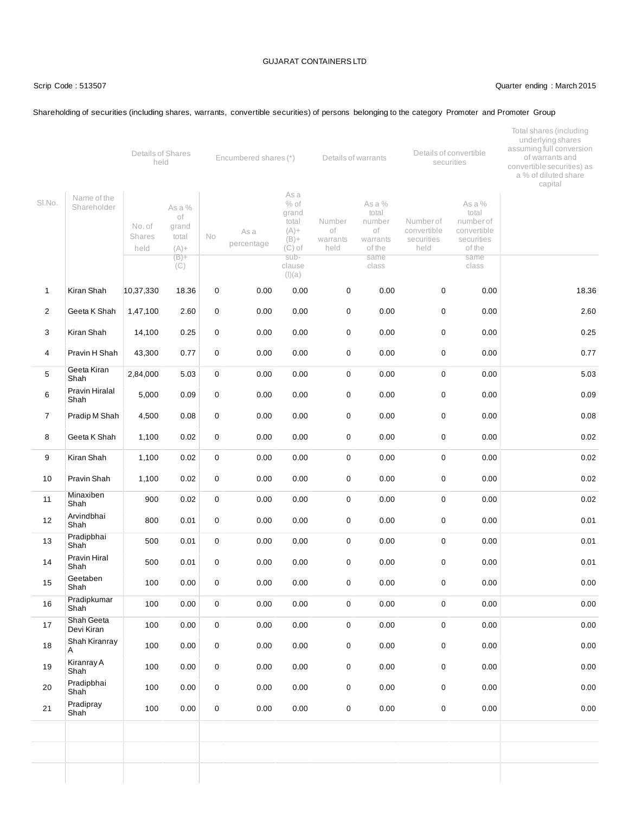Shareholding of securities (including shares, warrants, convertible securities) of persons belonging to the category Promoter and Promoter Group

### Scrip Code : 513507 Quarter ending : March 2015

### Shareholder As a % of No. of grand Shares total No As a held (A)+ percentage  $(B) +$  $(C)$ % of grand total  $(A)$ +  $(B)+$ (C) of subclause  $(I)(a)$ Number of warrants held As a % total number of warrants of the same class Number of convertible securities held As a % total number of convertible securities of the same class 1 Kiran Shah 10,37,330 18.36 0 0.00 0.00 0 0.00 0 0.00 18.36 2 Geeta K Shah 1,47,100 2.60 0 0.00 0.00 0 0.00 0 0.00 2.60 3 Kiran Shah 14,100 0.25 0 0.00 0.00 0 0.00 0 0.00 0.25 4 Pravin H Shah 43,300 0.77 0 0.00 0.00 0 0.00 0 0.00 0.77 5 Geeta Kiran Shah 2,84,000 5.03 0 0.00 0.00 0 0.00 0 0.00 5.03 6 Pravin Hiralal Shah 5,000 0.09 0 0.00 0.00 0 0.00 0 0.00 0.09 7 Pradip M Shah 4,500 0.08 0 0.00 0.00 0 0.00 0.00 0 0.00 0.00 0.08 0.08 8 Geeta K Shah 1,100 0.02 0 0.00 0.00 0 0.00 0.00 0 0.00 0.00 0.02 9 Kiran Shah 1,100 0.02 0 0.00 0.00 0 0.00 0 0.00 0.02 10 Pravin Shah 1,100 0.02 0 0.00 0.00 0 0.00 0 0.00 0.02 11 Minaxiben Shah 900 0.02 0 0.00 0.00 0 0.00 0 0.00 0.02 12 Arvindbhai Shah 800 0.01 0 0.00 0.00 0 0.00 0 0.00 0.01 13 Pradipbhai Shah 500 0.01 0 0.00 0.00 0 0.00 0 0.00 0.01 14 Pravin Hiral Shah 500 0.01 0 0.00 0.00 0 0.00 0 0.00 0.01 15 Geetaben Shah 100 0.00 0 0.00 0.00 0 0.00 0 0.00 0.00 16 Pradipkumar Shah 100 0.00 0 0.00 0.00 0 0.00 0 0.00 0.00 17 Shah Geeta Devi Kiran 100 0.00 0 0.00 0.00 0 0.00 0 0.00 0.00 18 Shah Kiranray A 100 0.00 0 0.00 0.00 0 0.00 0 0.00 0.00 19 KiranrayA Shah 100 0.00 0 0.00 0.00 0 0.00 0 0.00 0.00 20 Pradipbhai Shah 100 0.00 0 0.00 0.00 0 0.00 0 0.00 0.00 21 Pradipray Shah 100 0.00 0 0.00 0.00 0 0.00 0 0.00 0.00 Sl.No. Name of the Details of Shares Encumbered shares (\*) Details of warrants As a Details of convertible securities Total shares (including underlying shares assuming full conversion of warrants and convertible securities) as a % of diluted share capital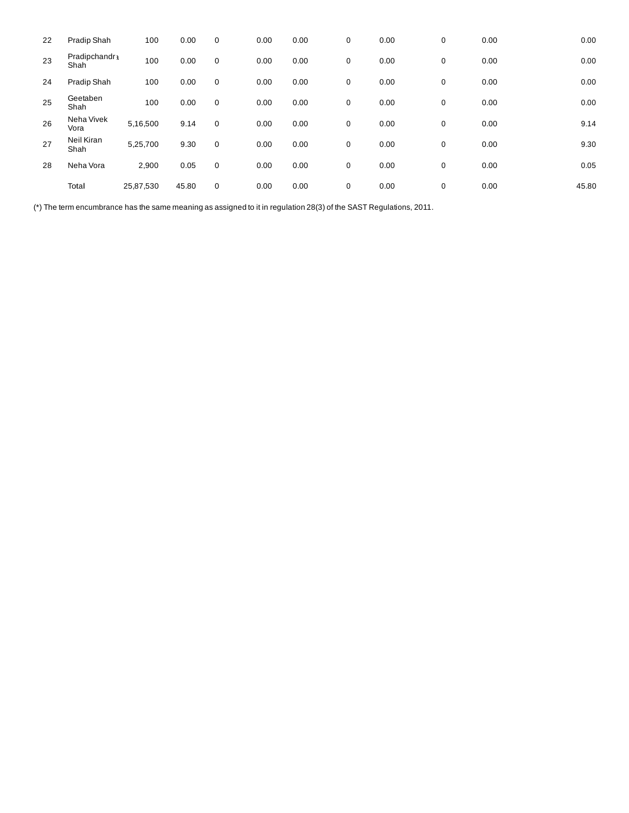| 22 | Pradip Shah           | 100       | 0.00  | $\mathbf 0$ | 0.00 | 0.00 | 0           | 0.00 | 0 | 0.00 | 0.00  |
|----|-----------------------|-----------|-------|-------------|------|------|-------------|------|---|------|-------|
| 23 | Pradipchandr1<br>Shah | 100       | 0.00  | 0           | 0.00 | 0.00 | 0           | 0.00 | 0 | 0.00 | 0.00  |
| 24 | Pradip Shah           | 100       | 0.00  | $\mathbf 0$ | 0.00 | 0.00 | 0           | 0.00 | 0 | 0.00 | 0.00  |
| 25 | Geetaben<br>Shah      | 100       | 0.00  | 0           | 0.00 | 0.00 | $\mathbf 0$ | 0.00 | 0 | 0.00 | 0.00  |
| 26 | Neha Vivek<br>Vora    | 5,16,500  | 9.14  | $\mathbf 0$ | 0.00 | 0.00 | 0           | 0.00 | 0 | 0.00 | 9.14  |
| 27 | Neil Kiran<br>Shah    | 5,25,700  | 9.30  | $\mathbf 0$ | 0.00 | 0.00 | 0           | 0.00 | 0 | 0.00 | 9.30  |
| 28 | Neha Vora             | 2,900     | 0.05  | $\mathbf 0$ | 0.00 | 0.00 | 0           | 0.00 | 0 | 0.00 | 0.05  |
|    | Total                 | 25,87,530 | 45.80 | $\mathbf 0$ | 0.00 | 0.00 | $\mathbf 0$ | 0.00 | 0 | 0.00 | 45.80 |

(\*) The term encumbrance has the same meaning as assigned to it in regulation 28(3) of the SAST Regulations, 2011.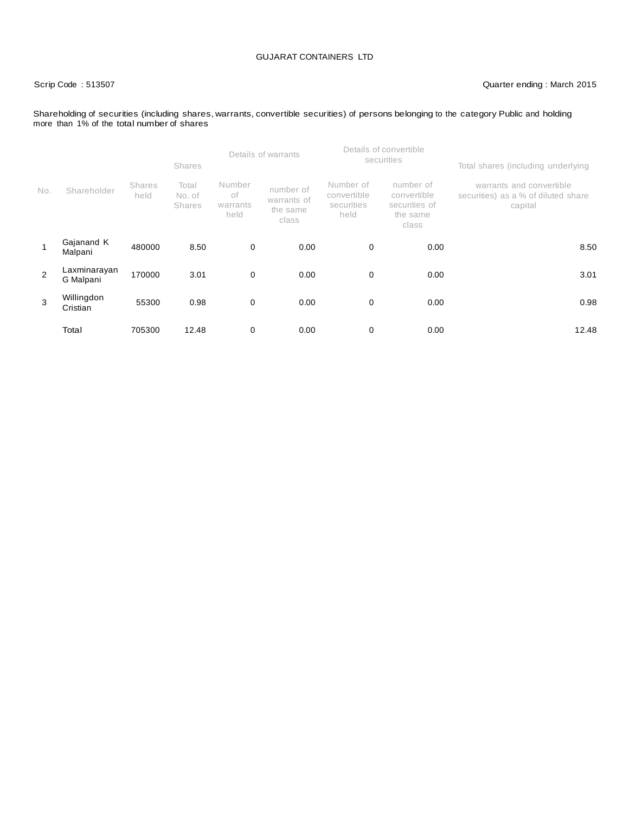# Scrip Code : 513507 Quarter ending : March 2015

### Shareholding of securities (including shares, warrants, convertible securities) of persons belonging to the category Public and holding more than 1% of the total number of shares

|                |                           |                       | <b>Shares</b>                    | Details of warrants              |                                               |                                                | Details of convertible<br>securities                           | Total shares (including underlying                                         |  |  |
|----------------|---------------------------|-----------------------|----------------------------------|----------------------------------|-----------------------------------------------|------------------------------------------------|----------------------------------------------------------------|----------------------------------------------------------------------------|--|--|
| No.            | Shareholder               | <b>Shares</b><br>held | Total<br>No. of<br><b>Shares</b> | Number<br>оf<br>warrants<br>held | number of<br>warrants of<br>the same<br>class | Number of<br>convertible<br>securities<br>held | number of<br>convertible<br>securities of<br>the same<br>class | warrants and convertible<br>securities) as a % of diluted share<br>capital |  |  |
|                | Gajanand K<br>Malpani     | 480000                | 8.50                             | $\mathbf 0$                      | 0.00                                          | 0                                              | 0.00                                                           | 8.50                                                                       |  |  |
| $\overline{2}$ | Laxminarayan<br>G Malpani | 170000                | 3.01                             | 0                                | 0.00                                          | 0                                              | 0.00                                                           | 3.01                                                                       |  |  |
| 3              | Willingdon<br>Cristian    | 55300                 | 0.98                             | $\mathbf 0$                      | 0.00                                          | $\mathbf 0$                                    | 0.00                                                           | 0.98                                                                       |  |  |
|                | Total                     | 705300                | 12.48                            | 0                                | 0.00                                          | 0                                              | 0.00                                                           | 12.48                                                                      |  |  |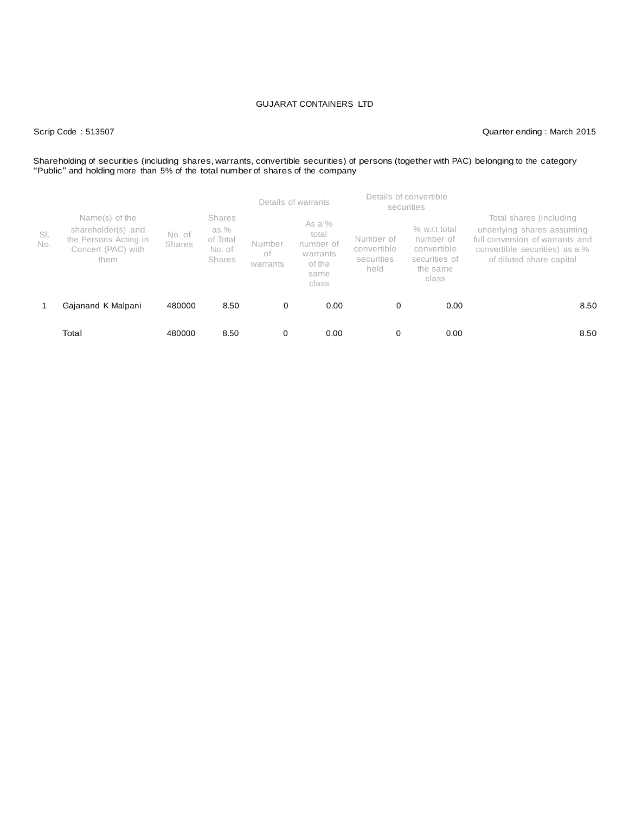Scrip Code : 513507 Quarter ending : March 2015

# Shareholding of securities (including shares, warrants, convertible securities) of persons (together with PAC) belonging to the category "Public" and holding more than 5% of the total number of shares of the company

|            |                                                                                             |                  |                                                       | Details of warrants      |                                                                       | Details of convertible<br>securities           |                                                                                   |                                                                                                                                                        |  |
|------------|---------------------------------------------------------------------------------------------|------------------|-------------------------------------------------------|--------------------------|-----------------------------------------------------------------------|------------------------------------------------|-----------------------------------------------------------------------------------|--------------------------------------------------------------------------------------------------------------------------------------------------------|--|
| SI.<br>No. | Name(s) of the<br>shareholder(s) and<br>the Persons Acting in<br>Concert (PAC) with<br>them | No. of<br>Shares | <b>Shares</b><br>as %<br>of Total<br>No. of<br>Shares | Number<br>оf<br>warrants | As a $%$<br>total<br>number of<br>warrants<br>of the<br>same<br>class | Number of<br>convertible<br>securities<br>held | $%$ w.r.t total<br>number of<br>convertible<br>securities of<br>the same<br>class | Total shares (including<br>underlying shares assuming<br>full conversion of warrants and<br>convertible securities) as a %<br>of diluted share capital |  |
|            | Gajanand K Malpani                                                                          | 480000           | 8.50                                                  | 0                        | 0.00                                                                  | 0                                              | 0.00                                                                              | 8.50                                                                                                                                                   |  |
|            | Total                                                                                       | 480000           | 8.50                                                  | 0                        | 0.00                                                                  | 0                                              | 0.00                                                                              | 8.50                                                                                                                                                   |  |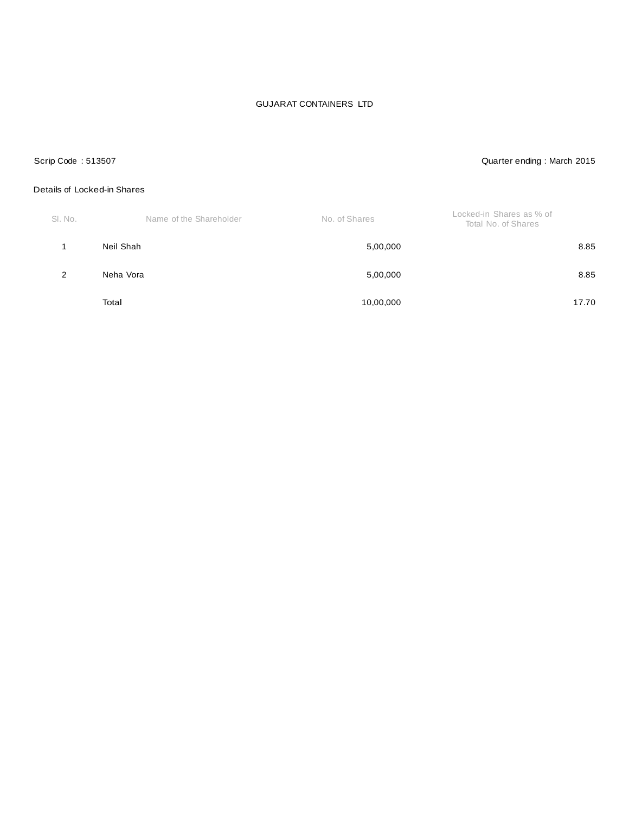# Scrip Code : 513507 Quarter ending : March 2015

# Details of Locked-in Shares

| SI. No. | Name of the Shareholder | No. of Shares | Locked-in Shares as % of<br>Total No. of Shares |
|---------|-------------------------|---------------|-------------------------------------------------|
|         | Neil Shah               | 5,00,000      | 8.85                                            |
| 2       | Neha Vora               | 5,00,000      | 8.85                                            |
|         | Total                   | 10,00,000     | 17.70                                           |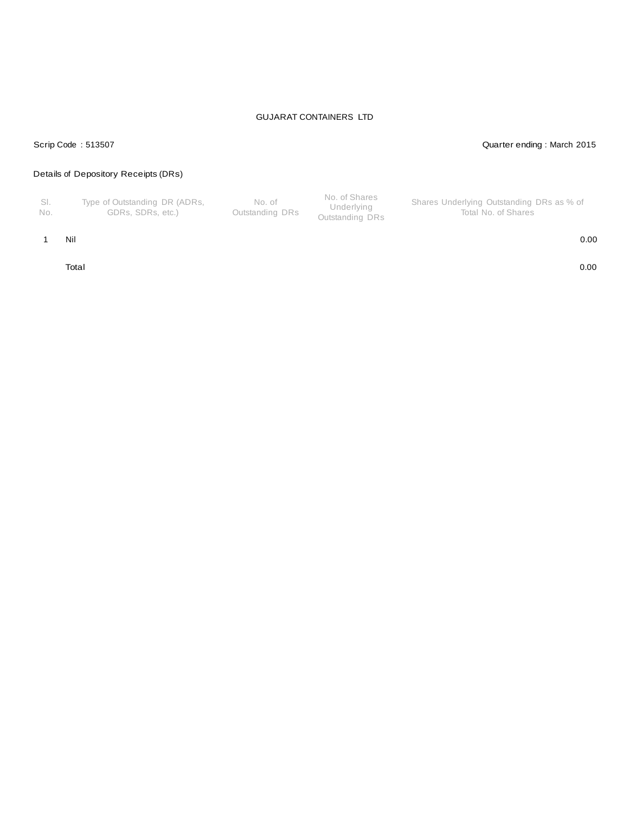# Scrip Code : 513507 Quarter ending : March 2015

# Details of Depository Receipts (DRs)

| - SI.<br>No. | Type of Outstanding DR (ADRs,<br>GDRs. SDRs. etc.) | No. of<br>Outstanding DRs | No. of Shares<br>Underlying<br>Outstanding DRs | Shares Underlying Outstanding DRs as % of<br>Total No. of Shares |
|--------------|----------------------------------------------------|---------------------------|------------------------------------------------|------------------------------------------------------------------|
|--------------|----------------------------------------------------|---------------------------|------------------------------------------------|------------------------------------------------------------------|

### 1 Nil 0.00

Total 0.00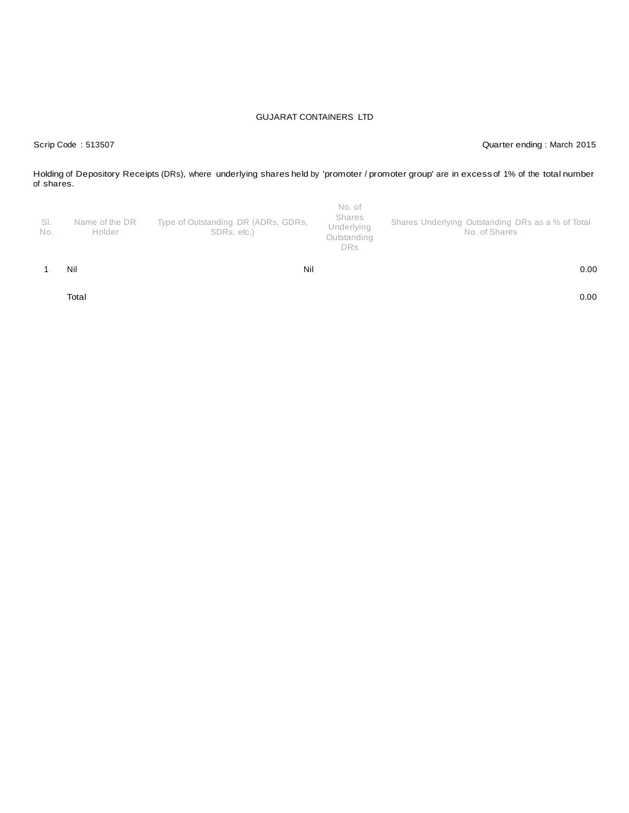Scrip Code : 513507 Quarter ending : March 2015

Holding of Depository Receipts (DRs), where underlying shares held by 'promoter / promoter group' are in excess of 1% of the total number of shares.

| SI.<br>No. | Name of the DR<br>Holder | Type of Outstanding DR (ADRs, GDRs,<br>SDRs, etc.) | No. of<br>Shares<br>Underlying<br>Outstanding<br><b>DRs</b> | Shares Underlying Outstanding DRs as a % of Total<br>No. of Shares |
|------------|--------------------------|----------------------------------------------------|-------------------------------------------------------------|--------------------------------------------------------------------|
|            | Nil                      | Nil                                                |                                                             | 0.00                                                               |

Total 0.00